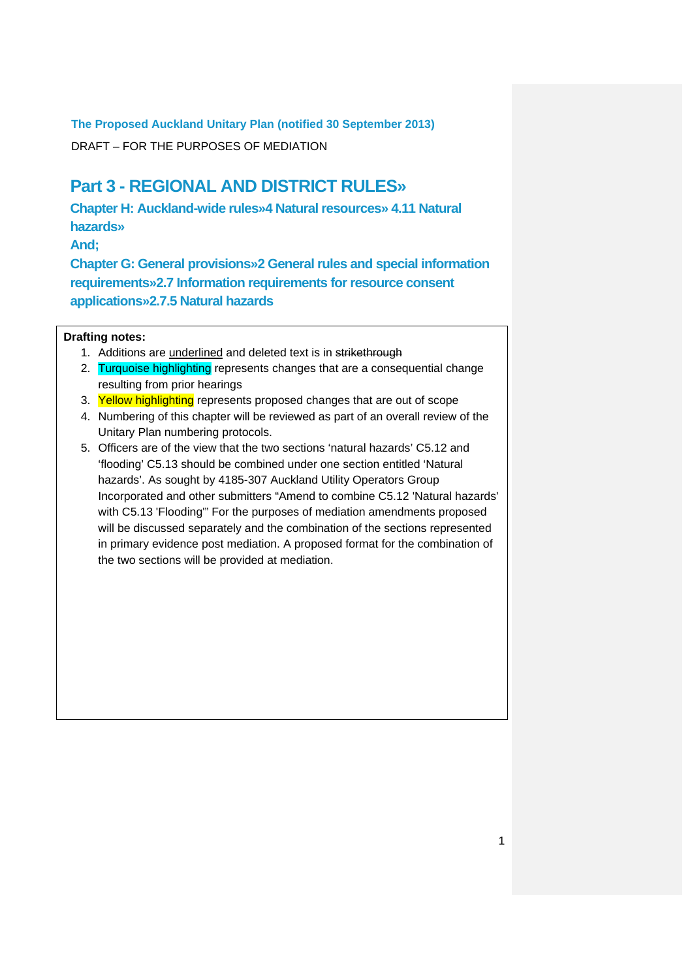DRAFT – FOR THE PURPOSES OF MEDIATION

# **Part 3 - REGIONAL AND DISTRICT RULES»**

**Chapter H: Auckland-wide rules»4 Natural resources» 4.11 Natural hazards»** 

**And;**

**Chapter G: General provisions»2 General rules and special information requirements»2.7 Information requirements for resource consent applications»2.7.5 Natural hazards** 

## **Drafting notes:**

- 1. Additions are underlined and deleted text is in strikethrough
- 2. Turquoise highlighting represents changes that are a consequential change resulting from prior hearings
- 3. Yellow highlighting represents proposed changes that are out of scope
- 4. Numbering of this chapter will be reviewed as part of an overall review of the Unitary Plan numbering protocols.
- 5. Officers are of the view that the two sections 'natural hazards' C5.12 and 'flooding' C5.13 should be combined under one section entitled 'Natural hazards'. As sought by 4185-307 Auckland Utility Operators Group Incorporated and other submitters "Amend to combine C5.12 'Natural hazards' with C5.13 'Flooding'" For the purposes of mediation amendments proposed will be discussed separately and the combination of the sections represented in primary evidence post mediation. A proposed format for the combination of the two sections will be provided at mediation.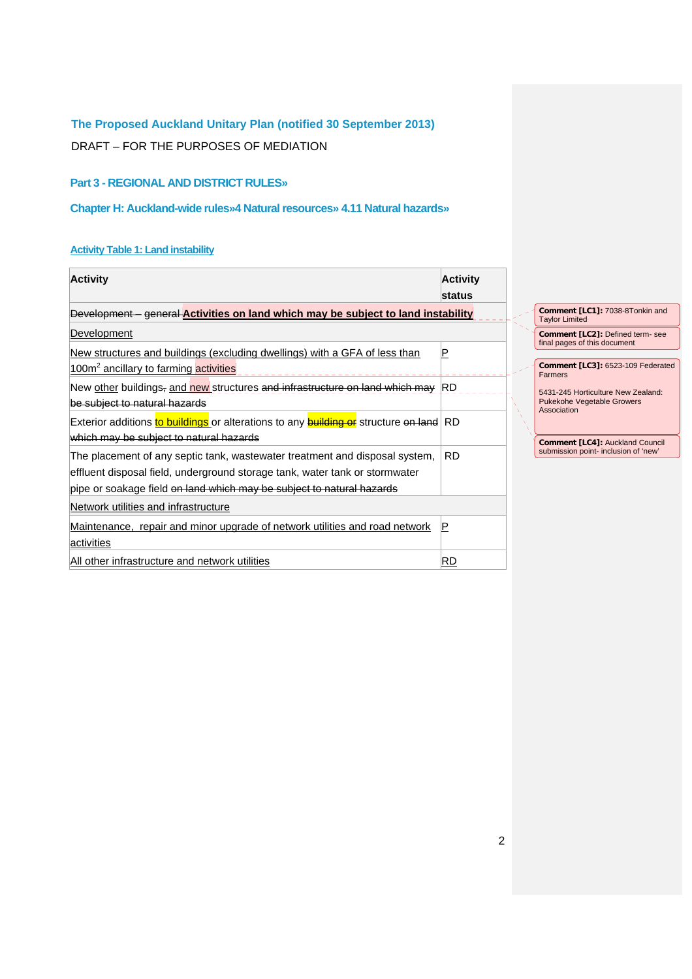DRAFT – FOR THE PURPOSES OF MEDIATION

# **Part 3 - REGIONAL AND DISTRICT RULES»**

# **Chapter H: Auckland-wide rules»4 Natural resources» 4.11 Natural hazards»**

# **Activity Table 1: Land instability**

| <b>Activity</b>                                                                               | <b>Activity</b> |                                    |                                                                                            |
|-----------------------------------------------------------------------------------------------|-----------------|------------------------------------|--------------------------------------------------------------------------------------------|
|                                                                                               | <b>status</b>   |                                    |                                                                                            |
| Development - general Activities on land which may be subject to land instability             |                 |                                    | Comment [LC1]: 7038-8Tonkin and<br><b>Taylor Limited</b>                                   |
| Development                                                                                   |                 |                                    | Comment [LC2]: Defined term- see                                                           |
| New structures and buildings (excluding dwellings) with a GFA of less than                    | $\sf P$         |                                    | final pages of this document                                                               |
| 100m <sup>2</sup> ancillary to farming activities                                             |                 |                                    | Comment [LC3]: 6523-109 Federated<br><b>Farmers</b>                                        |
| New other buildings, and new structures and infrastructure on land which may                  | RD              | 5431-245 Horticulture New Zealand: |                                                                                            |
| be subject to natural hazards                                                                 |                 |                                    | <b>Pukekohe Vegetable Growers</b><br>Association<br><b>Comment [LC4]: Auckland Council</b> |
| Exterior additions to buildings or alterations to any <b>building or</b> structure on land RD |                 |                                    |                                                                                            |
| which may be subject to natural hazards                                                       |                 |                                    |                                                                                            |
| The placement of any septic tank, wastewater treatment and disposal system,                   | RD.             |                                    | submission point- inclusion of 'new'                                                       |
| effluent disposal field, underground storage tank, water tank or stormwater                   |                 |                                    |                                                                                            |
| pipe or soakage field on land which may be subject to natural hazards                         |                 |                                    |                                                                                            |
| Network utilities and infrastructure                                                          |                 |                                    |                                                                                            |
| Maintenance, repair and minor upgrade of network utilities and road network                   | P               |                                    |                                                                                            |
| activities                                                                                    |                 |                                    |                                                                                            |
| All other infrastructure and network utilities                                                | RD              |                                    |                                                                                            |
|                                                                                               |                 |                                    |                                                                                            |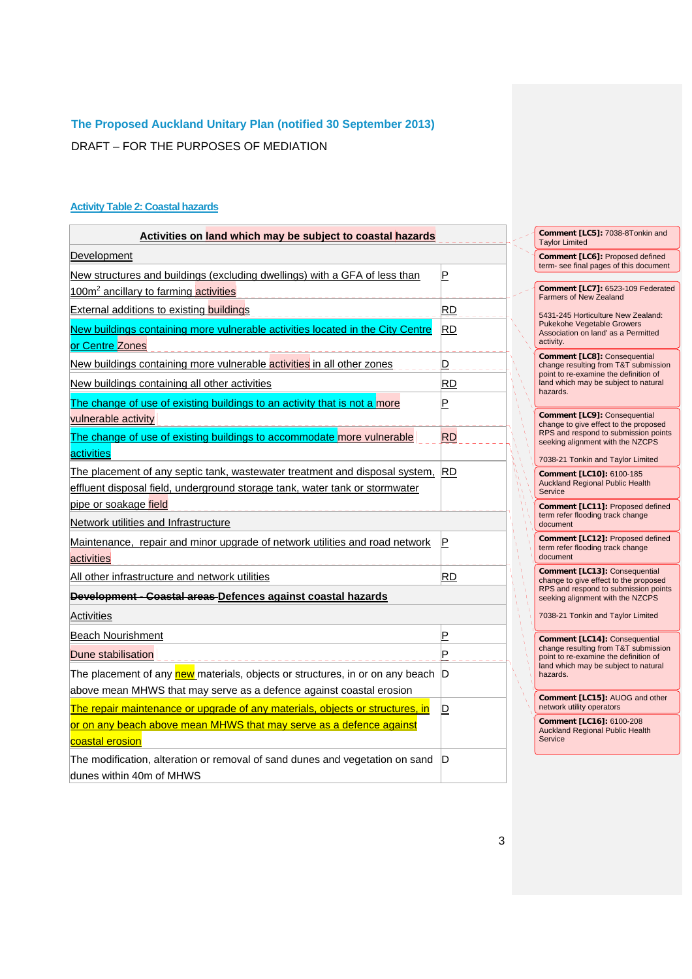DRAFT – FOR THE PURPOSES OF MEDIATION

# **Activity Table 2: Coastal hazards**

| Activities on land which may be subject to coastal hazards                                                                                                              |                         |                                                                          | Comment [LC5]: 7038-8Tonkin and<br><b>Taylor Limited</b>                                                                    |  |  |  |
|-------------------------------------------------------------------------------------------------------------------------------------------------------------------------|-------------------------|--------------------------------------------------------------------------|-----------------------------------------------------------------------------------------------------------------------------|--|--|--|
| Development                                                                                                                                                             |                         |                                                                          | Comment [LC6]: Proposed defined                                                                                             |  |  |  |
| New structures and buildings (excluding dwellings) with a GFA of less than<br>100m <sup>2</sup> ancillary to farming activities                                         | $\mathsf P$             |                                                                          | term- see final pages of this document<br>Comment [LC7]: 6523-109 Federated                                                 |  |  |  |
| <b>External additions to existing buildings</b>                                                                                                                         | <b>RD</b>               |                                                                          | <b>Farmers of New Zealand</b>                                                                                               |  |  |  |
| New buildings containing more vulnerable activities located in the City Centre<br>or Centre Zones                                                                       | <b>RD</b>               |                                                                          | 5431-245 Horticulture New Zealand:<br><b>Pukekohe Vegetable Growers</b><br>Association on land' as a Permitted<br>activity. |  |  |  |
| New buildings containing more vulnerable activities in all other zones                                                                                                  | $\overline{\mathsf{D}}$ |                                                                          | Comment [LC8]: Consequential<br>change resulting from T&T submission                                                        |  |  |  |
| New buildings containing all other activities                                                                                                                           | <b>RD</b>               |                                                                          | point to re-examine the definition of<br>land which may be subject to natural                                               |  |  |  |
| The change of use of existing buildings to an activity that is not a more<br>vulnerable activity                                                                        | P                       |                                                                          | hazards.<br>Comment [LC9]: Consequential                                                                                    |  |  |  |
| The change of use of existing buildings to accommodate more vulnerable<br>activities                                                                                    | <b>RD</b>               |                                                                          | change to give effect to the proposed<br>RPS and respond to submission points<br>seeking alignment with the NZCPS           |  |  |  |
| The placement of any septic tank, wastewater treatment and disposal system, RD<br>effluent disposal field, underground storage tank, water tank or stormwater           |                         |                                                                          | 7038-21 Tonkin and Taylor Limited<br>Comment [LC10]: 6100-185<br><b>Auckland Regional Public Health</b><br>Service          |  |  |  |
| pipe or soakage field                                                                                                                                                   |                         | Comment [LC11]: Proposed defined<br>term refer flooding track change     |                                                                                                                             |  |  |  |
| Network utilities and Infrastructure                                                                                                                                    |                         | document                                                                 |                                                                                                                             |  |  |  |
| Maintenance, repair and minor upgrade of network utilities and road network<br>activities                                                                               | $\mathsf P$             |                                                                          | Comment [LC12]: Proposed defined<br>term refer flooding track change<br>document                                            |  |  |  |
| All other infrastructure and network utilities                                                                                                                          | <b>RD</b>               |                                                                          | Comment [LC13]: Consequential<br>change to give effect to the proposed                                                      |  |  |  |
| Development - Coastal areas Defences against coastal hazards                                                                                                            |                         | RPS and respond to submission points<br>seeking alignment with the NZCPS |                                                                                                                             |  |  |  |
| Activities                                                                                                                                                              |                         |                                                                          | 7038-21 Tonkin and Taylor Limited                                                                                           |  |  |  |
| <b>Beach Nourishment</b>                                                                                                                                                | $\mathsf P$             |                                                                          | Comment [LC14]: Consequential<br>change resulting from T&T submission<br>point to re-examine the definition of              |  |  |  |
| Dune stabilisation                                                                                                                                                      | P                       |                                                                          |                                                                                                                             |  |  |  |
| The placement of any <i>new</i> materials, objects or structures, in or on any beach D                                                                                  |                         |                                                                          | land which may be subject to natural<br>hazards.                                                                            |  |  |  |
| above mean MHWS that may serve as a defence against coastal erosion                                                                                                     |                         |                                                                          | Comment [LC15]: AUOG and other<br>network utility operators                                                                 |  |  |  |
| The repair maintenance or upgrade of any materials, objects or structures, in<br>or on any beach above mean MHWS that may serve as a defence against<br>coastal erosion | D                       |                                                                          | Comment [LC16]: 6100-208<br><b>Auckland Regional Public Health</b><br>Service                                               |  |  |  |
| The modification, alteration or removal of sand dunes and vegetation on sand<br>dunes within 40m of MHWS                                                                | D                       |                                                                          |                                                                                                                             |  |  |  |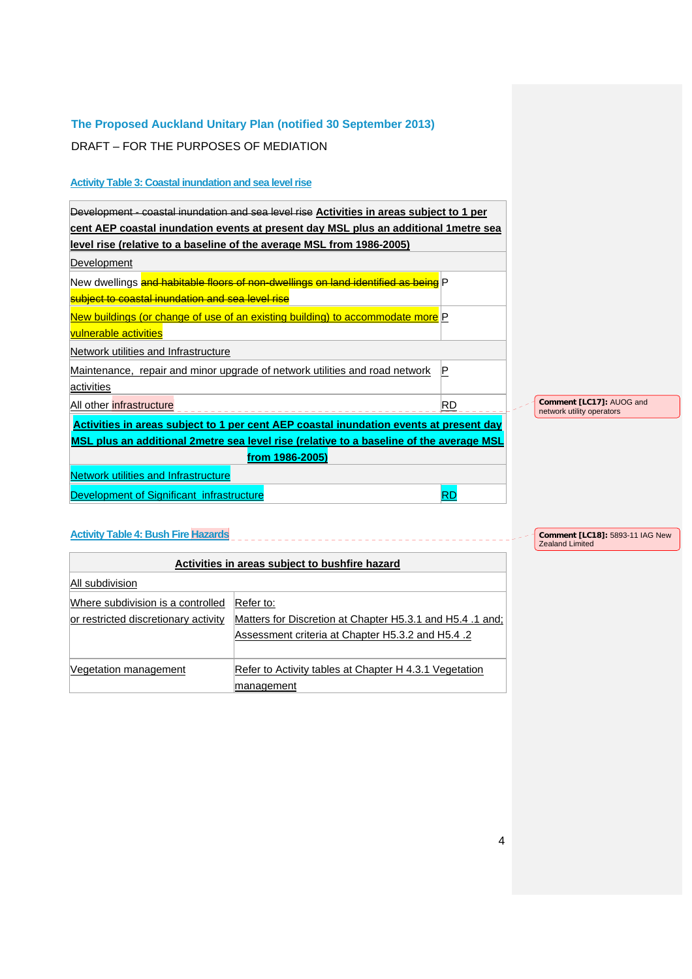DRAFT – FOR THE PURPOSES OF MEDIATION

# **Activity Table 3: Coastal inundation and sea level rise**

| Development - coastal inundation and sea level rise Activities in areas subject to 1 per |             |                                                       |
|------------------------------------------------------------------------------------------|-------------|-------------------------------------------------------|
| cent AEP coastal inundation events at present day MSL plus an additional 1 metre sea     |             |                                                       |
| level rise (relative to a baseline of the average MSL from 1986-2005)                    |             |                                                       |
| Development                                                                              |             |                                                       |
| New dwellings and habitable floors of non-dwellings on land identified as being P        |             |                                                       |
| subject to coastal inundation and sea level rise                                         |             |                                                       |
| New buildings (or change of use of an existing building) to accommodate more P           |             |                                                       |
| vulnerable activities                                                                    |             |                                                       |
| Network utilities and Infrastructure                                                     |             |                                                       |
| Maintenance, repair and minor upgrade of network utilities and road network              | $\mathsf P$ |                                                       |
| activities                                                                               |             |                                                       |
| All other infrastructure                                                                 | RD          | Comment [LC17]: AUOG and<br>network utility operators |
| Activities in areas subject to 1 per cent AEP coastal inundation events at present day   |             |                                                       |
| MSL plus an additional 2metre sea level rise (relative to a baseline of the average MSL  |             |                                                       |
| from 1986-2005)                                                                          |             |                                                       |
| <b>Network utilities and Infrastructure</b>                                              |             |                                                       |
| Development of Significant infrastructure                                                | <b>RD</b>   |                                                       |

# **Activity Table 4: Bush Fire Hazards**

| Activities in areas subject to bushfire hazard |                                                           |  |  |  |
|------------------------------------------------|-----------------------------------------------------------|--|--|--|
| All subdivision                                |                                                           |  |  |  |
| Where subdivision is a controlled              | Refer to:                                                 |  |  |  |
| or restricted discretionary activity           | Matters for Discretion at Chapter H5.3.1 and H5.4 .1 and; |  |  |  |
|                                                | Assessment criteria at Chapter H5.3.2 and H5.4 .2         |  |  |  |
|                                                |                                                           |  |  |  |
| Vegetation management                          | Refer to Activity tables at Chapter H 4.3.1 Vegetation    |  |  |  |
|                                                | management                                                |  |  |  |

**Comment [LC18]:** 5893-11 IAG New Zealand Limited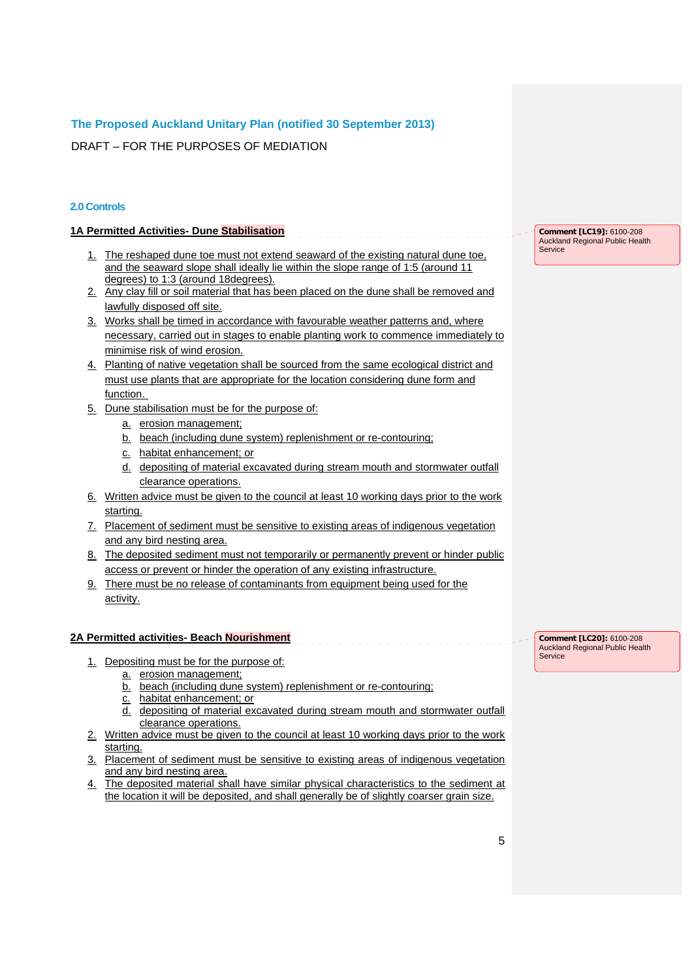DRAFT – FOR THE PURPOSES OF MEDIATION

#### **2.0 Controls**

#### **1A Permitted Activities- Dune Stabilisation**

- 1. The reshaped dune toe must not extend seaward of the existing natural dune toe. and the seaward slope shall ideally lie within the slope range of 1:5 (around 11 degrees) to 1:3 (around 18degrees).
- 2. Any clay fill or soil material that has been placed on the dune shall be removed and lawfully disposed off site.
- 3. Works shall be timed in accordance with favourable weather patterns and, where necessary, carried out in stages to enable planting work to commence immediately to minimise risk of wind erosion.
- 4. Planting of native vegetation shall be sourced from the same ecological district and must use plants that are appropriate for the location considering dune form and function.
- 5. Dune stabilisation must be for the purpose of:
	- a. erosion management;
	- b. beach (including dune system) replenishment or re-contouring;
	- c. habitat enhancement; or
	- d. depositing of material excavated during stream mouth and stormwater outfall clearance operations.
- 6. Written advice must be given to the council at least 10 working days prior to the work starting.
- 7. Placement of sediment must be sensitive to existing areas of indigenous vegetation and any bird nesting area.
- 8. The deposited sediment must not temporarily or permanently prevent or hinder public access or prevent or hinder the operation of any existing infrastructure.
- 9. There must be no release of contaminants from equipment being used for the activity.

#### **2A Permitted activities- Beach Nourishment**

- 1. Depositing must be for the purpose of:
	- a. erosion management;
	- b. beach (including dune system) replenishment or re-contouring;
	- c. habitat enhancement; or
	- d. depositing of material excavated during stream mouth and stormwater outfall clearance operations.
- 2. Written advice must be given to the council at least 10 working days prior to the work starting.
- 3. Placement of sediment must be sensitive to existing areas of indigenous vegetation and any bird nesting area.
- 4. The deposited material shall have similar physical characteristics to the sediment at the location it will be deposited, and shall generally be of slightly coarser grain size.

**Comment [LC19]:** 6100-208 Auckland Regional Public Health

Service

**Comment [LC20]:** 6100-208 Auckland Regional Public Health Service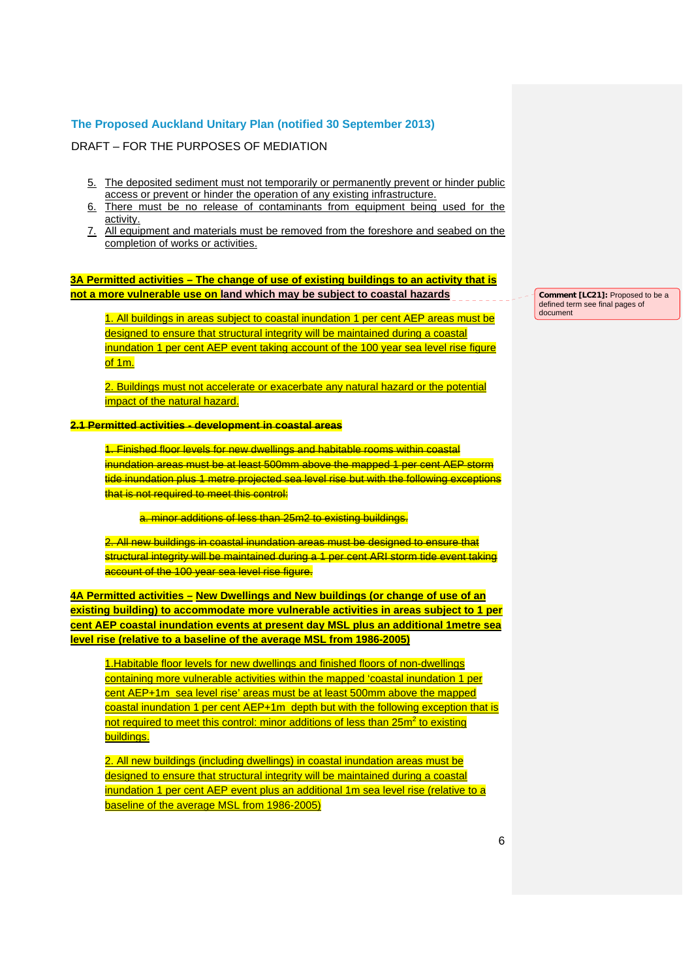DRAFT – FOR THE PURPOSES OF MEDIATION

- 5. The deposited sediment must not temporarily or permanently prevent or hinder public access or prevent or hinder the operation of any existing infrastructure.
- 6. There must be no release of contaminants from equipment being used for the activity.
- 7. All equipment and materials must be removed from the foreshore and seabed on the completion of works or activities.

#### **3A Permitted activities – The change of use of existing buildings to an activity that is not a more vulnerable use on land which may be subject to coastal hazards**

1. All buildings in areas subject to coastal inundation 1 per cent AEP areas must be designed to ensure that structural integrity will be maintained during a coastal inundation 1 per cent AEP event taking account of the 100 year sea level rise figure of 1m.

2. Buildings must not accelerate or exacerbate any natural hazard or the potential impact of the natural hazard.

#### **2.1 Permitted activities - development in coastal areas**

1. Finished floor levels for new dwellings and habitable rooms within coastal inundation areas must be at least 500mm above the mapped 1 per cent AEP storm tide inundation plus 1 metre projected sea level rise but with the following exceptions that is not required to meet this control:

a. minor additions of less than 25m2 to existing buildings.

2. All new buildings in coastal inundation areas must be designed to ensure that structural integrity will be maintained during a 1 per cent ARI storm tide event taking account of the 100 year sea level rise figure.

**4A Permitted activities – New Dwellings and New buildings (or change of use of an existing building) to accommodate more vulnerable activities in areas subject to 1 per cent AEP coastal inundation events at present day MSL plus an additional 1metre sea level rise (relative to a baseline of the average MSL from 1986-2005)**

1.Habitable floor levels for new dwellings and finished floors of non-dwellings containing more vulnerable activities within the mapped 'coastal inundation 1 per cent AEP+1m sea level rise' areas must be at least 500mm above the mapped coastal inundation 1 per cent AEP+1m depth but with the following exception that is not required to meet this control: minor additions of less than 25m<sup>2</sup> to existing buildings.

2. All new buildings (including dwellings) in coastal inundation areas must be designed to ensure that structural integrity will be maintained during a coastal inundation 1 per cent AEP event plus an additional 1m sea level rise (relative to a baseline of the average MSL from 1986-2005)

**Comment [LC21]:** Proposed to be a defined term see final pages of document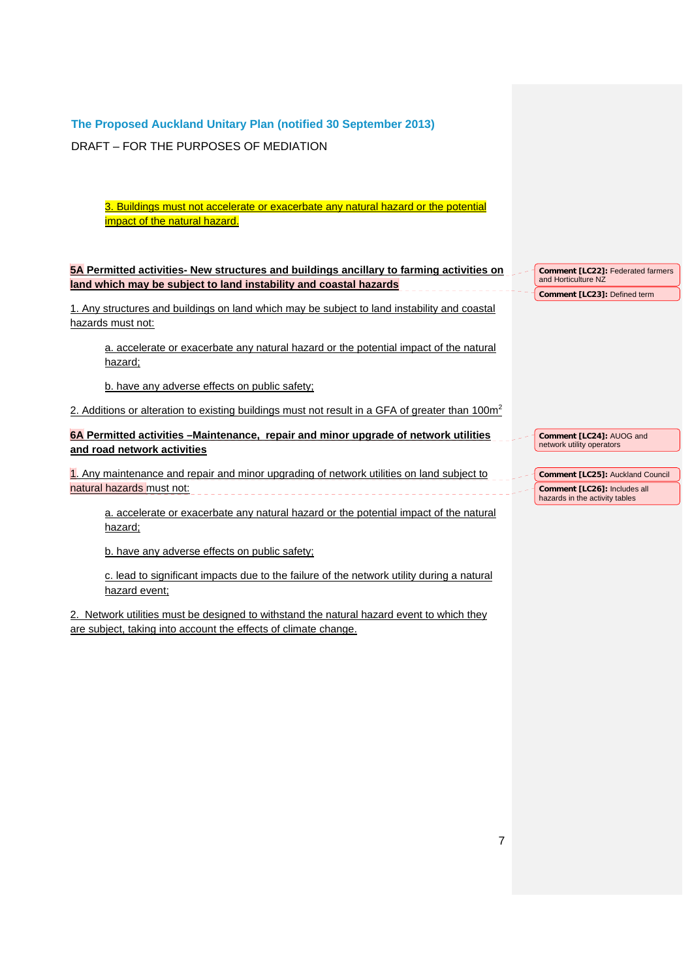DRAFT – FOR THE PURPOSES OF MEDIATION

3. Buildings must not accelerate or exacerbate any natural hazard or the potential impact of the natural hazard.

## **5A Permitted activities- New structures and buildings ancillary to farming activities on land which may be subject to land instability and coastal hazards**

1. Any structures and buildings on land which may be subject to land instability and coastal hazards must not:

a. accelerate or exacerbate any natural hazard or the potential impact of the natural hazard;

b. have any adverse effects on public safety;

2. Additions or alteration to existing buildings must not result in a GFA of greater than  $100<sup>m²</sup>$ 

## **6A Permitted activities –Maintenance, repair and minor upgrade of network utilities and road network activities**

1. Any maintenance and repair and minor upgrading of network utilities on land subject to natural hazards must not:

a. accelerate or exacerbate any natural hazard or the potential impact of the natural hazard;

b. have any adverse effects on public safety;

c. lead to significant impacts due to the failure of the network utility during a natural hazard event;

2. Network utilities must be designed to withstand the natural hazard event to which they are subject, taking into account the effects of climate change.

**Comment [LC22]:** Federated farmers and Horticulture NZ **Comment [LC23]:** Defined term

**Comment [LC24]:** AUOG and network utility operators

**Comment [LC25]:** Auckland Council **Comment [LC26]:** Includes all hazards in the activity tables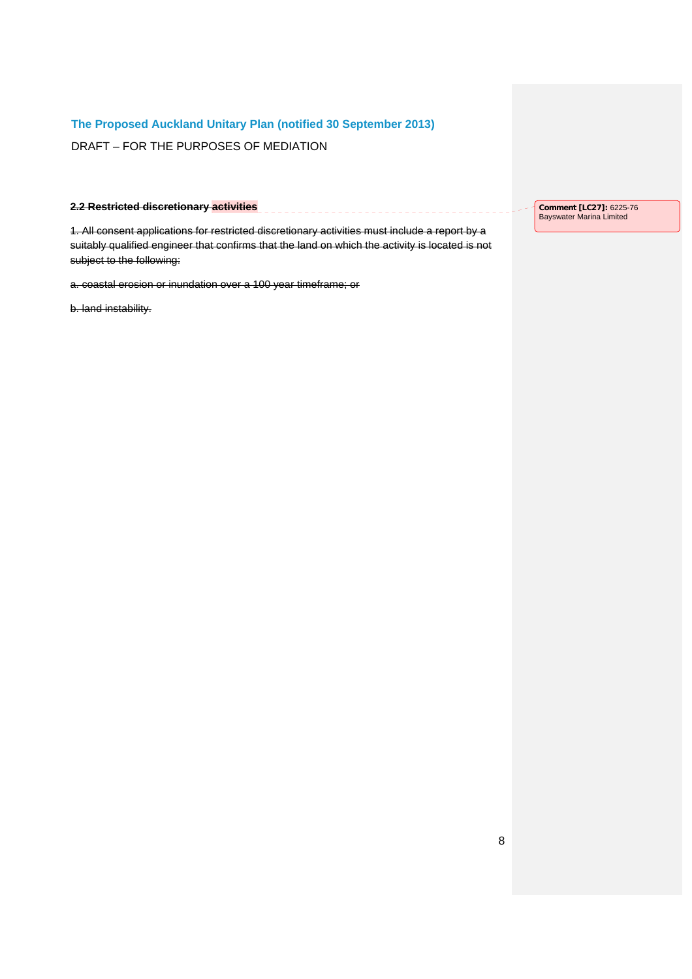DRAFT – FOR THE PURPOSES OF MEDIATION

#### **2.2 Restricted discretionary activities**

1. All consent applications for restricted discretionary activities must include a report by a suitably qualified engineer that confirms that the land on which the activity is located is not subject to the following:

<u>Seesees</u>

a. coastal erosion or inundation over a 100 year timeframe; or

b. land instability.

**Comment [LC27]:** 6225-76 Bayswater Marina Limited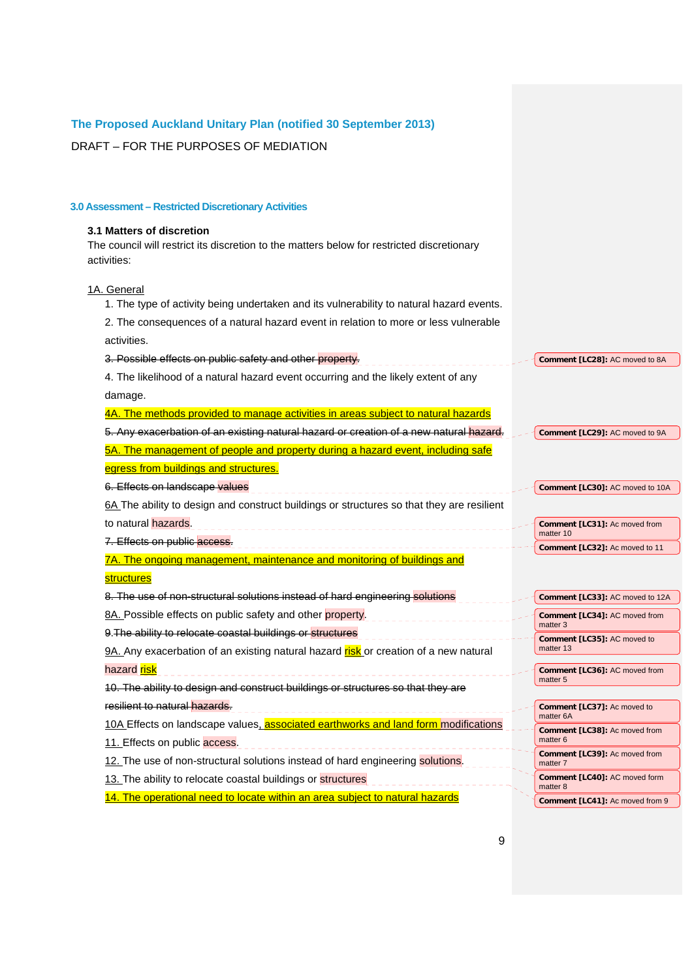#### **The Proposed Auckland Unitary Plan (notified 30 September 2013)**  DRAFT – FOR THE PURPOSES OF MEDIATION **3.0 Assessment – Restricted Discretionary Activities 3.1 Matters of discretion**  The council will restrict its discretion to the matters below for restricted discretionary activities: 1A. General 1. The type of activity being undertaken and its vulnerability to natural hazard events. 2. The consequences of a natural hazard event in relation to more or less vulnerable activities. 3. Possible effects on public safety and other property. **Comment [LC28]:** AC moved to 8A 4. The likelihood of a natural hazard event occurring and the likely extent of any damage. 4A. The methods provided to manage activities in areas subject to natural hazards 5. Any exacerbation of an existing natural hazard or creation of a new natural hazard. **Comment [LC29]:** AC moved to 9A 5A. The management of people and property during a hazard event, including safe egress from buildings and structures. 6. Effects on landscape <mark>values</mark> **Comment [LC30]:** AC moved to 10A \_\_\_\_\_\_\_\_\_\_\_\_\_\_\_\_\_\_\_\_\_\_\_\_\_\_\_\_\_\_\_\_\_\_\_\_ 6A The ability to design and construct buildings or structures so that they are resilient to natural hazards. **Comment [LC31]:** Ac moved from matter 10 7. Effects on public access. **Comment [LC32]:** Ac moved to 11 7A. The ongoing management, maintenance and monitoring of buildings and **structures** 8. The use of non-structural solutions instead of hard engineering solutions **Comment [LC33]:** AC moved to 12A 8A. Possible effects on public safety and other property. **Comment [LC34]:** AC moved from matter 3 9. The ability to relocate coastal buildings or structures **Comment [LC35]:** AC moved to 9A. Any exacerbation of an existing natural hazard risk or creation of a new natural matter 13 hazard <mark>risk</mark> **Comment [LC36]:** AC moved from matter 5 10. The ability to design and construct buildings or structures so that they are resilient to natural hazards. **Comment [LC37]:** Ac moved to matter 6A 10A Effects on landscape values, **associated earthworks and land form** modifications **Comment [LC38]:** Ac moved from matter 6 11. Effects on public access. **Comment [LC39]:** Ac moved from 12. The use of non-structural solutions instead of hard engineering solutions. matter 7 **Comment [LC40]:** AC moved form 13. The ability to relocate coastal buildings or structures matter 8 14. The operational need to locate within an area subject to natural hazards **Comment [LC41]:** Ac moved from 9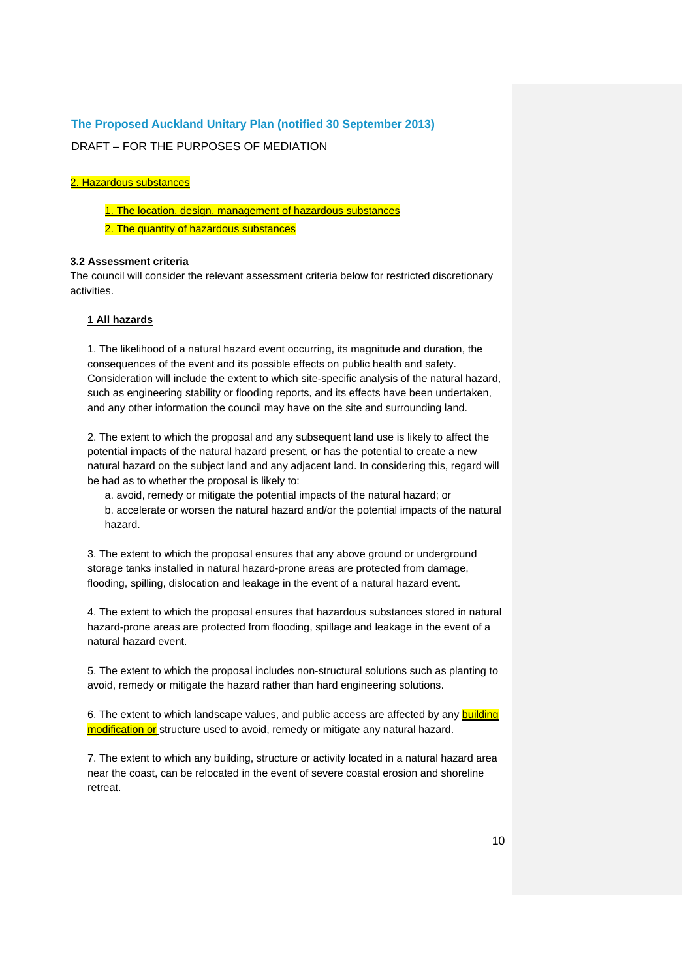DRAFT – FOR THE PURPOSES OF MEDIATION

#### 2. Hazardous substances

1. The location, design, management of hazardous substances

2. The quantity of hazardous substances

#### **3.2 Assessment criteria**

The council will consider the relevant assessment criteria below for restricted discretionary activities.

#### **1 All hazards**

1. The likelihood of a natural hazard event occurring, its magnitude and duration, the consequences of the event and its possible effects on public health and safety. Consideration will include the extent to which site-specific analysis of the natural hazard, such as engineering stability or flooding reports, and its effects have been undertaken, and any other information the council may have on the site and surrounding land.

2. The extent to which the proposal and any subsequent land use is likely to affect the potential impacts of the natural hazard present, or has the potential to create a new natural hazard on the subject land and any adjacent land. In considering this, regard will be had as to whether the proposal is likely to:

a. avoid, remedy or mitigate the potential impacts of the natural hazard; or b. accelerate or worsen the natural hazard and/or the potential impacts of the natural hazard.

3. The extent to which the proposal ensures that any above ground or underground storage tanks installed in natural hazard-prone areas are protected from damage, flooding, spilling, dislocation and leakage in the event of a natural hazard event.

4. The extent to which the proposal ensures that hazardous substances stored in natural hazard-prone areas are protected from flooding, spillage and leakage in the event of a natural hazard event.

5. The extent to which the proposal includes non-structural solutions such as planting to avoid, remedy or mitigate the hazard rather than hard engineering solutions.

6. The extent to which landscape values, and public access are affected by any building modification or structure used to avoid, remedy or mitigate any natural hazard.

7. The extent to which any building, structure or activity located in a natural hazard area near the coast, can be relocated in the event of severe coastal erosion and shoreline retreat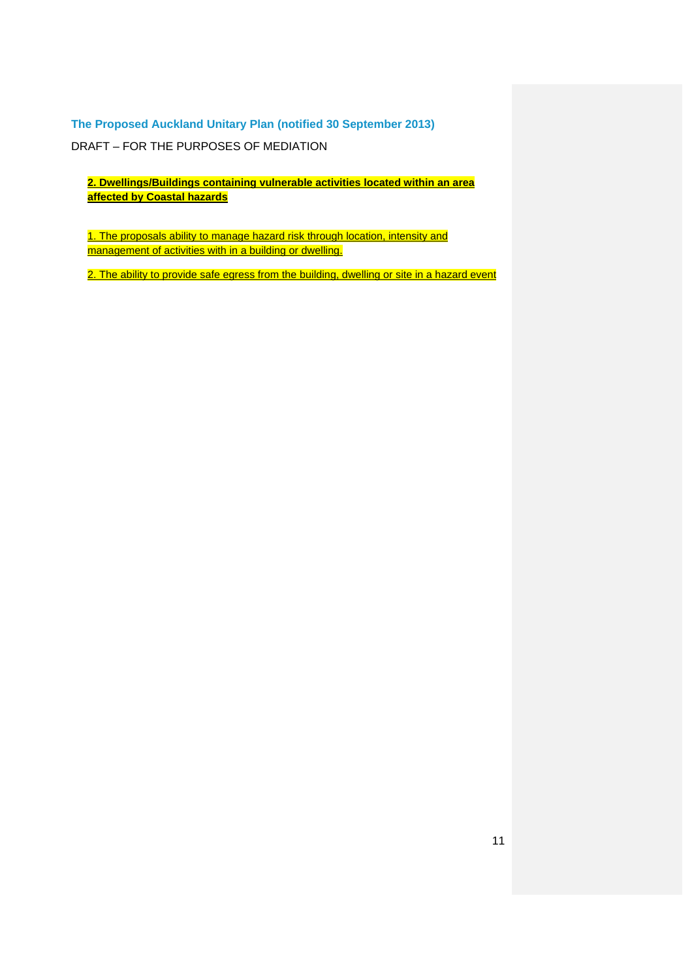DRAFT – FOR THE PURPOSES OF MEDIATION

**2. Dwellings/Buildings containing vulnerable activities located within an area affected by Coastal hazards** 

1. The proposals ability to manage hazard risk through location, intensity and management of activities with in a building or dwelling.

2. The ability to provide safe egress from the building, dwelling or site in a hazard event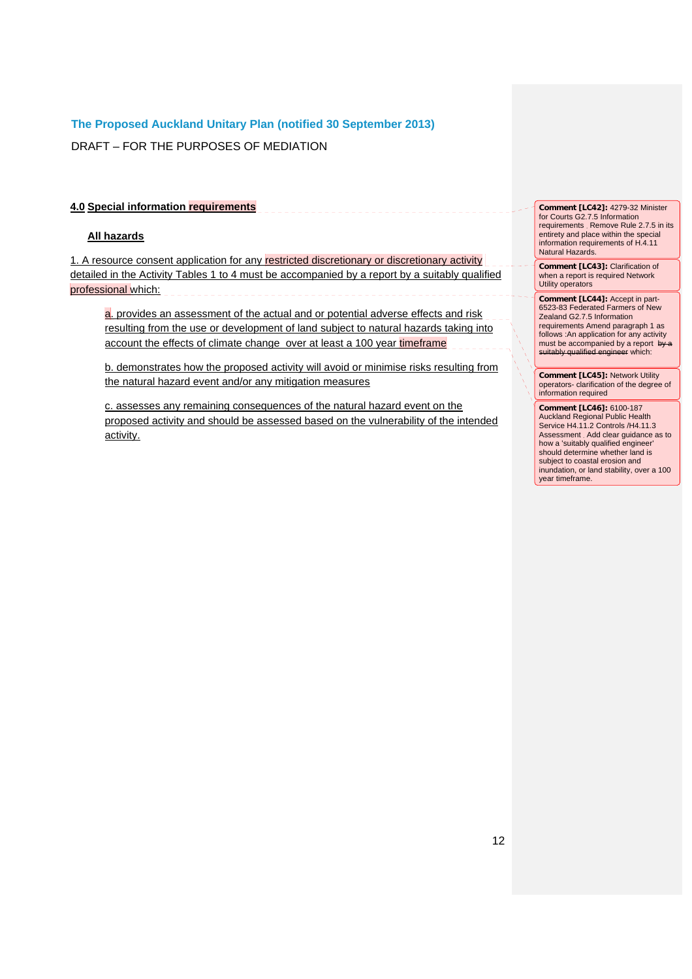DRAFT – FOR THE PURPOSES OF MEDIATION

## **4.0 Special information requirements**

#### **All hazards**

1. A resource consent application for any restricted discretionary or discretionary activity detailed in the Activity Tables 1 to 4 must be accompanied by a report by a suitably qualified professional which:

a. provides an assessment of the actual and or potential adverse effects and risk resulting from the use or development of land subject to natural hazards taking into account the effects of climate change over at least a 100 year timeframe

b. demonstrates how the proposed activity will avoid or minimise risks resulting from the natural hazard event and/or any mitigation measures

c. assesses any remaining consequences of the natural hazard event on the proposed activity and should be assessed based on the vulnerability of the intended activity.

**Comment [LC42]:** 4279-32 Minister for Courts G2.7.5 Information requirements Remove Rule 2.7.5 in its entirety and place within the special information requirements of H.4.11 Natural Hazards.

**Comment [LC43]:** Clarification of when a report is required Network Utility operators

**Comment [LC44]:** Accept in part-6523-83 Federated Farmers of New Zealand G2.7.5 Information requirements Amend paragraph 1 as follows :An application for any activity must be accompanied by a report by a meet as accompanneer by a repent

**Comment [LC45]:** Network Utility operators- clarification of the degree of information required

**Comment [LC46]:** 6100-187 Auckland Regional Public Health Service H4.11.2 Controls /H4.11.3 Assessment Add clear guidance as to how a 'suitably qualified engineer' should determine whether land is subject to coastal erosion and inundation, or land stability, over a 100 year timeframe.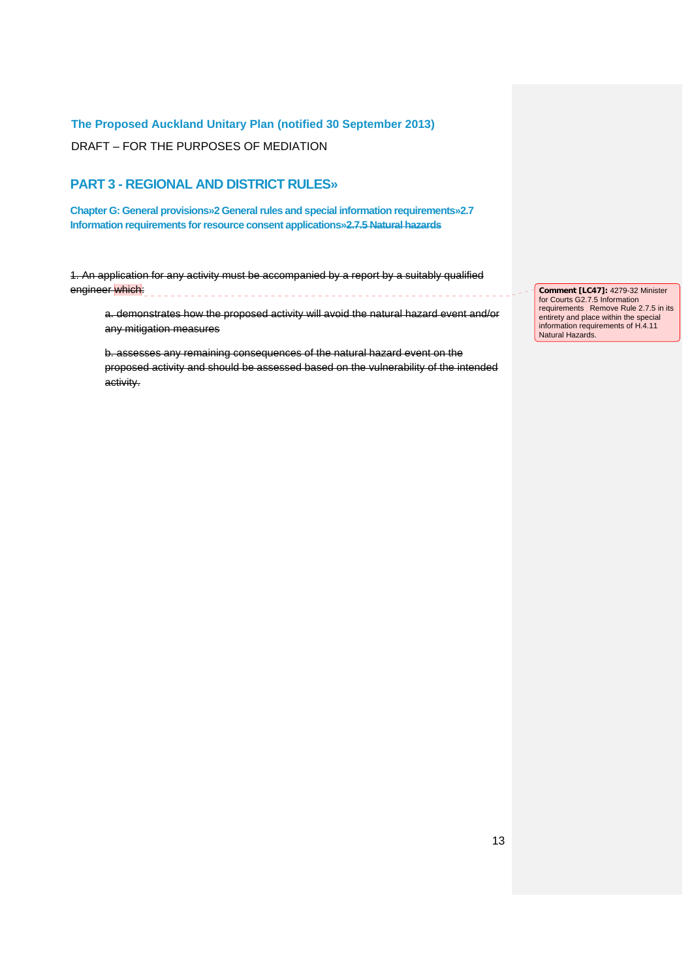DRAFT – FOR THE PURPOSES OF MEDIATION

# **PART 3 - REGIONAL AND DISTRICT RULES»**

**Chapter G: General provisions»2 General rules and special information requirements»2.7 Information requirements for resource consent applications»2.7.5 Natural hazards**

1. An application for any activity must be accompanied by a report by a suitably qualified engineer which:

a. demonstrates how the proposed activity will avoid the natural hazard event and/or any mitigation measures

b. assesses any remaining consequences of the natural hazard event on the proposed activity and should be assessed based on the vulnerability of the intended activity.

**Comment [LC47]:** 4279-32 Minister for Courts G2.7.5 Information<br>requirements . Remove Rule 2.7.5 in its<br>entirety and place within the special information requirements of H.4.11 Natural Hazards.